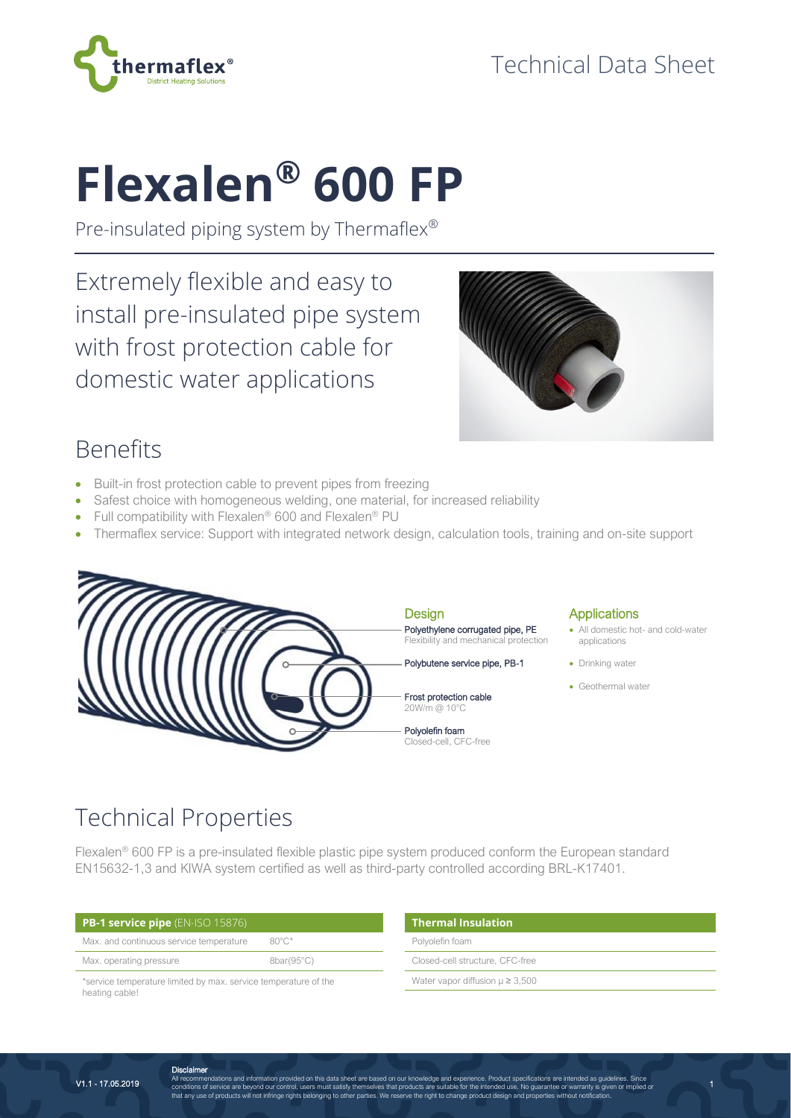

# **Flexalen® 600 FP**

Pre-insulated piping system by Thermaflex®

Extremely flexible and easy to install pre-insulated pipe system with frost protection cable for domestic water applications



1

## Benefits

- Built-in frost protection cable to prevent pipes from freezing
- Safest choice with homogeneous welding, one material, for increased reliability
- Full compatibility with Flexalen<sup>®</sup> 600 and Flexalen<sup>®</sup> PU
- Thermaflex service: Support with integrated network design, calculation tools, training and on-site support



# Technical Properties

Flexalen® 600 FP is a pre-insulated flexible plastic pipe system produced conform the European standard EN15632-1,3 and KIWA system certified as well as third-party controlled according BRL-K17401.

| <b>PB-1 service pipe</b> (EN-ISO 15876)                         |                     | <b>Thermal Insulation</b>              |  |  |
|-----------------------------------------------------------------|---------------------|----------------------------------------|--|--|
| Max. and continuous service temperature<br>$80^{\circ}$ C*      |                     | Polyolefin foam                        |  |  |
| Max. operating pressure                                         | $8bar(95^{\circ}C)$ | Closed-cell structure, CFC-free        |  |  |
| *service temperature limited by max. service temperature of the |                     | Water vapor diffusion $\mu \geq 3,500$ |  |  |
| heating cable!                                                  |                     |                                        |  |  |